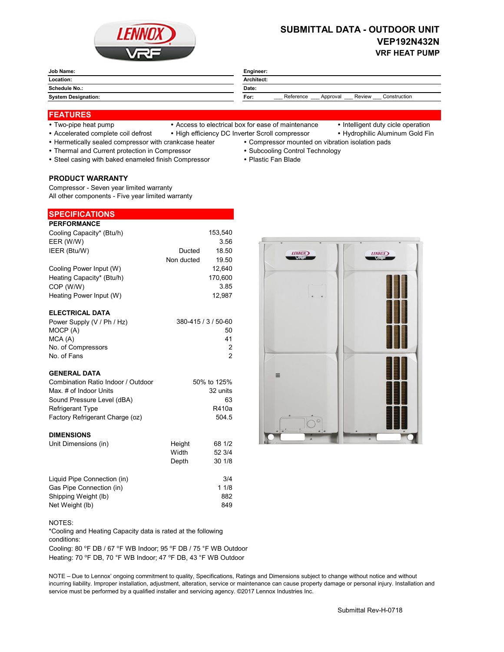

# **SUBMITTAL DATA - OUTDOOR UNIT VEP192N432N VRF HEAT PUMP**

| <b>Job Name:</b>           | Engineer:                                               |  |
|----------------------------|---------------------------------------------------------|--|
| Location:                  | Architect:                                              |  |
| Schedule No.:              | Date:                                                   |  |
| <b>System Designation:</b> | Reference<br>Review<br>Construction<br>Approval<br>For: |  |

#### **FEATURES**

- 
- Two-pipe heat pump Access to electrical box for ease of maintenance Intelligent duty cicle operation
	-
- Accelerated complete coil defrost High efficiency DC Inverter Scroll compressor Hydrophilic Aluminum Gold Fin
- Hermetically sealed compressor with crankcase heater Compressor mounted on vibration isolation pads<br>• Thermal and Current protection in Compressor Subcooling Control Technology
- Thermal and Current protection in Compressor
- Steel casing with baked enameled finish Compressor Plastic Fan Blade
- 
- 

#### **PRODUCT WARRANTY**

**SPECIFICATIONS**

Compressor - Seven year limited warranty All other components - Five year limited warranty

| <b>PERFORMANCE</b>         |            |                     |
|----------------------------|------------|---------------------|
| Cooling Capacity* (Btu/h)  |            | 153.540             |
| EER (W/W)                  |            | 3.56                |
| IEER (Btu/W)               | Ducted     | 18.50               |
|                            | Non ducted | 19.50               |
| Cooling Power Input (W)    |            | 12.640              |
| Heating Capacity* (Btu/h)  |            | 170.600             |
| COP (W/W)                  |            | 3.85                |
| Heating Power Input (W)    |            | 12.987              |
| <b>ELECTRICAL DATA</b>     |            |                     |
| Power Supply (V / Ph / Hz) |            | 380-415 / 3 / 50-60 |
| MOCP (A)                   |            | 50                  |

| <b>NUCP (A)</b>    | 5U |
|--------------------|----|
| MCA (A)            | 41 |
| No. of Compressors |    |
| No. of Fans        | 2  |
|                    |    |

## **GENERAL DATA**

| 50% to 125% |  |
|-------------|--|
| 32 units    |  |
| 63          |  |
| R410a       |  |
| 504.5       |  |
|             |  |

## **DIMENSIONS**

| Unit Dimensions (in)        | Height | 68 1/2 |
|-----------------------------|--------|--------|
|                             | Width  | 52 3/4 |
|                             | Depth  | 30 1/8 |
| Liquid Pipe Connection (in) |        | 3/4    |
| Gas Pipe Connection (in)    |        | 11/8   |
| Shipping Weight (lb)        |        | 882    |
| Net Weight (lb)             |        | 849    |



\*Cooling and Heating Capacity data is rated at the following conditions:

Cooling: 80 °F DB / 67 °F WB Indoor; 95 °F DB / 75 °F WB Outdoor Heating: 70 °F DB, 70 °F WB Indoor; 47 °F DB, 43 °F WB Outdoor

NOTE – Due to Lennox' ongoing commitment to quality, Specifications, Ratings and Dimensions subject to change without notice and without incurring liability. Improper installation, adjustment, alteration, service or maintenance can cause property damage or personal injury. Installation and service must be performed by a qualified installer and servicing agency. ©2017 Lennox Industries Inc.